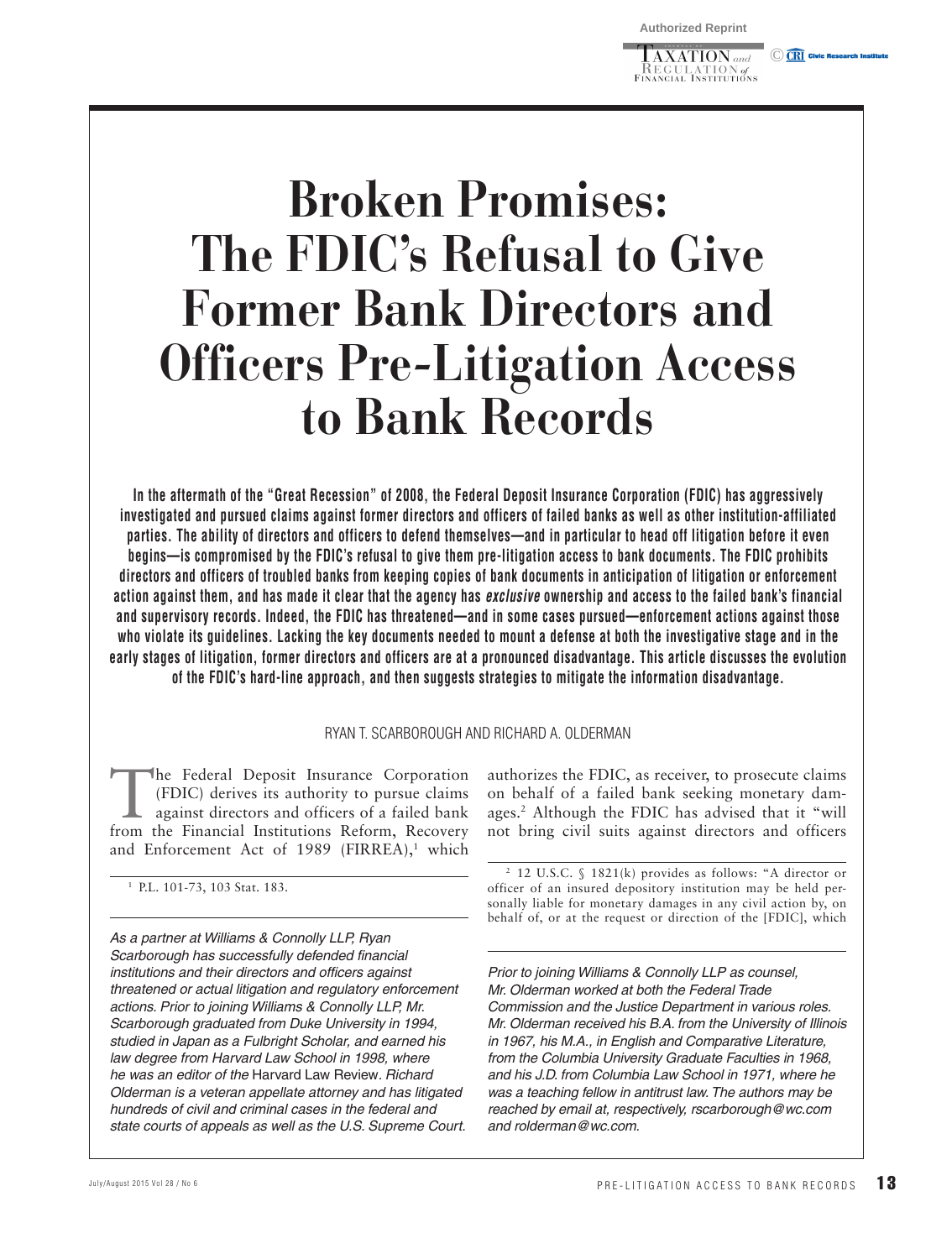$\overline{\text{AXATION}}$  and **KEGULATION** of<br>Financial Institutions C CRI Civic Re

# **Broken Promises: The FDIC's Refusal to Give Former Bank Directors and Officers Pre-Litigation Access to Bank Records**

 **In the aftermath of the "Great Recession" of 2008, the Federal Deposit Insurance Corporation (FDIC) has aggressively investigated and pursued claims against former directors and officers of failed banks as well as other institution-affiliated parties. The ability of directors and officers to defend themselves—and in particular to head off litigation before it even begins—is compromised by the FDIC's refusal to give them pre-litigation access to bank documents. The FDIC prohibits directors and officers of troubled banks from keeping copies of bank documents in anticipation of litigation or enforcement action against them, and has made it clear that the agency has** *exclusive* **ownership and access to the failed bank's financial and supervisory records. Indeed, the FDIC has threatened—and in some cases pursued—enforcement actions against those who violate its guidelines. Lacking the key documents needed to mount a defense at both the investigative stage and in the early stages of litigation, former directors and officers are at a pronounced disadvantage. This article discusses the evolution of the FDIC's hard-line approach, and then suggests strategies to mitigate the information disadvantage.** 

#### RYAN T. SCARBOROUGH AND RICHARD A. OLDERMAN

The Federal Deposit Insurance Corporation (FDIC) derives its authority to pursue claims against directors and officers of a failed bank from the Financial Institutions Reform, Recovery and Enforcement Act of 1989 (FIRREA), $1$  which

1 P.L. 101-73, 103 Stat. 183.

*As a partner at Williams & Connolly LLP, Ryan Scarborough has successfully defended financial institutions and their directors and officers against threatened or actual litigation and regulatory enforcement actions. Prior to joining Williams & Connolly LLP, Mr. Scarborough graduated from Duke University in 1994, studied in Japan as a Fulbright Scholar, and earned his law degree from Harvard Law School in 1998, where he was an editor of the* Harvard Law Review*. Richard Olderman is a veteran appellate attorney and has litigated hundreds of civil and criminal cases in the federal and state courts of appeals as well as the U.S. Supreme Court.*  authorizes the FDIC, as receiver, to prosecute claims on behalf of a failed bank seeking monetary damages.<sup>2</sup> Although the FDIC has advised that it "will not bring civil suits against directors and officers

2 12 U.S.C. § 1821(k) provides as follows: "A director or officer of an insured depository institution may be held personally liable for monetary damages in any civil action by, on behalf of, or at the request or direction of the [FDIC], which

*Prior to joining Williams & Connolly LLP as counsel, Mr. Olderman worked at both the Federal Trade Commission and the Justice Department in various roles. Mr. Olderman received his B.A. from the University of Illinois in 1967, his M.A., in English and Comparative Literature, from the Columbia University Graduate Faculties in 1968, and his J.D. from Columbia Law School in 1971, where he was a teaching fellow in antitrust law. The authors may be reached by email at, respectively, rscarborough@wc.com and rolderman@wc.com.*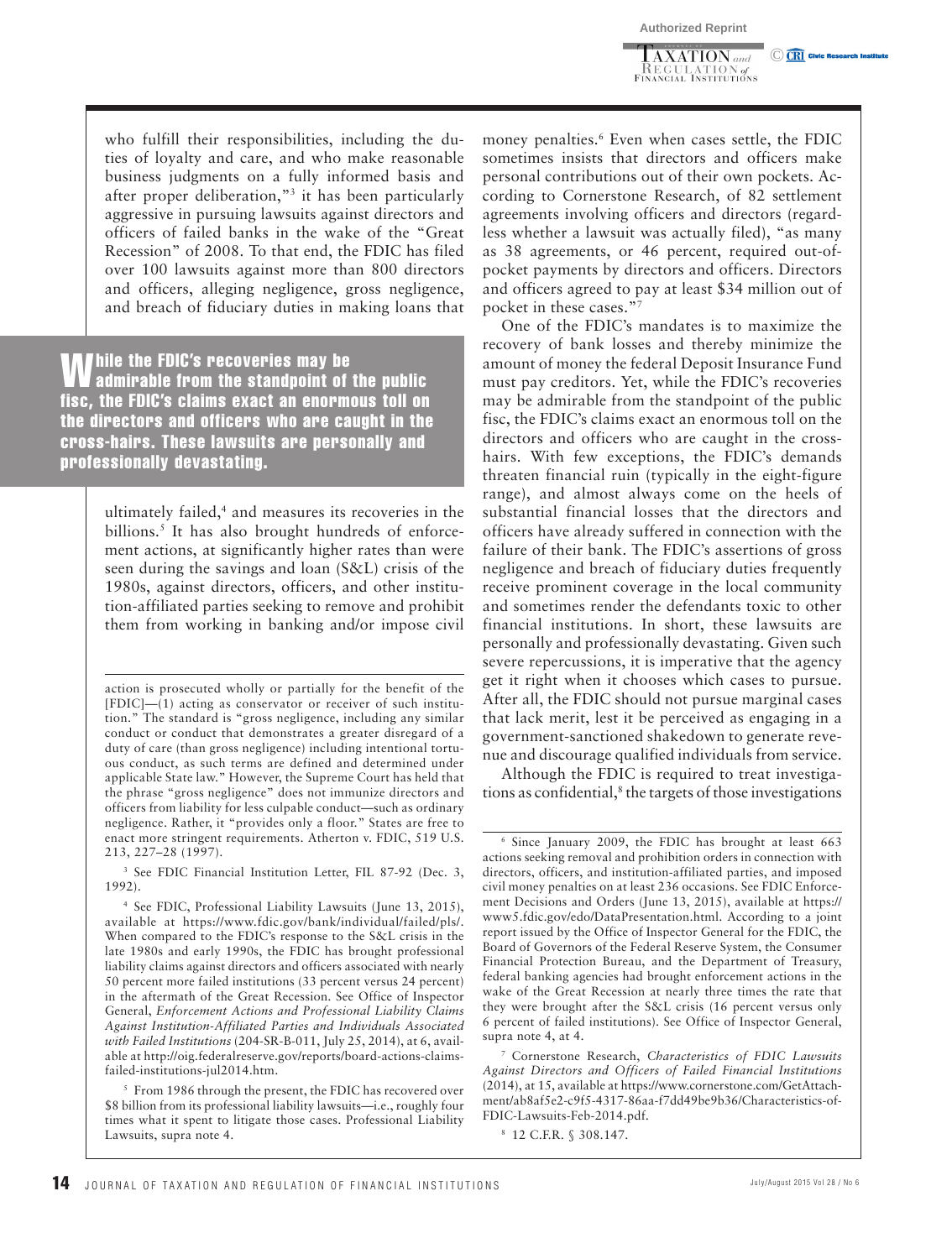$\overline{\text{AXATION}}$  and \_KEGULATION of<br>Financial Institutions C CRI Civic Research In

who fulfill their responsibilities, including the duties of loyalty and care, and who make reasonable business judgments on a fully informed basis and after proper deliberation,"<sup>3</sup> it has been particularly aggressive in pursuing lawsuits against directors and officers of failed banks in the wake of the "Great Recession" of 2008. To that end, the FDIC has filed over 100 lawsuits against more than 800 directors and officers, alleging negligence, gross negligence, and breach of fiduciary duties in making loans that

**While the FDIC's recoveries may be** admirable from the standpoint of the public fisc, the FDIC's claims exact an enormous toll on the directors and officers who are caught in the cross-hairs. These lawsuits are personally and professionally devastating.

> ultimately failed,<sup>4</sup> and measures its recoveries in the billions.<sup>5</sup> It has also brought hundreds of enforcement actions, at significantly higher rates than were seen during the savings and loan (S&L) crisis of the 1980s, against directors, officers, and other institution-affiliated parties seeking to remove and prohibit them from working in banking and/or impose civil

> action is prosecuted wholly or partially for the benefit of the [FDIC]—(1) acting as conservator or receiver of such institution." The standard is "gross negligence, including any similar conduct or conduct that demonstrates a greater disregard of a duty of care (than gross negligence) including intentional tortuous conduct, as such terms are defined and determined under applicable State law." However, the Supreme Court has held that the phrase "gross negligence" does not immunize directors and officers from liability for less culpable conduct—such as ordinary negligence. Rather, it "provides only a floor." States are free to enact more stringent requirements. Atherton v. FDIC, 519 U.S. 213, 227–28 (1997).

> 3 See FDIC Financial Institution Letter, FIL 87-92 (Dec. 3, 1992).

money penalties.<sup>6</sup> Even when cases settle, the FDIC sometimes insists that directors and officers make personal contributions out of their own pockets. According to Cornerstone Research, of 82 settlement agreements involving officers and directors (regardless whether a lawsuit was actually filed), "as many as 38 agreements, or 46 percent, required out-ofpocket payments by directors and officers. Directors and officers agreed to pay at least \$34 million out of pocket in these cases."<sup>7</sup>

One of the FDIC's mandates is to maximize the recovery of bank losses and thereby minimize the amount of money the federal Deposit Insurance Fund must pay creditors. Yet, while the FDIC's recoveries may be admirable from the standpoint of the public fisc, the FDIC's claims exact an enormous toll on the directors and officers who are caught in the crosshairs. With few exceptions, the FDIC's demands threaten financial ruin (typically in the eight-figure range), and almost always come on the heels of substantial financial losses that the directors and officers have already suffered in connection with the failure of their bank. The FDIC's assertions of gross negligence and breach of fiduciary duties frequently receive prominent coverage in the local community and sometimes render the defendants toxic to other financial institutions. In short, these lawsuits are personally and professionally devastating. Given such severe repercussions, it is imperative that the agency get it right when it chooses which cases to pursue. After all, the FDIC should not pursue marginal cases that lack merit, lest it be perceived as engaging in a government-sanctioned shakedown to generate revenue and discourage qualified individuals from service.

Although the FDIC is required to treat investigations as confidential,<sup>8</sup> the targets of those investigations

<sup>4</sup> See FDIC, Professional Liability Lawsuits (June 13, 2015), available at https://www.fdic.gov/bank/individual/failed/pls/. When compared to the FDIC's response to the S&L crisis in the late 1980s and early 1990s, the FDIC has brought professional liability claims against directors and officers associated with nearly 50 percent more failed institutions (33 percent versus 24 percent) in the aftermath of the Great Recession. See Office of Inspector General, *Enforcement Actions and Professional Liability Claims Against Institution-Affiliated Parties and Individuals Associated with Failed Institutions* (204-SR-B-011, July 25, 2014), at 6, available at http://oig.federalreserve.gov/reports/board-actions-claimsfailed-institutions-jul2014.htm.

<sup>5</sup> From 1986 through the present, the FDIC has recovered over \$8 billion from its professional liability lawsuits—i.e., roughly four times what it spent to litigate those cases. Professional Liability Lawsuits, supra note 4.

<sup>6</sup> Since January 2009, the FDIC has brought at least 663 actions seeking removal and prohibition orders in connection with directors, officers, and institution-affiliated parties, and imposed civil money penalties on at least 236 occasions. See FDIC Enforcement Decisions and Orders (June 13, 2015), available at https:// www5.fdic.gov/edo/DataPresentation.html. According to a joint report issued by the Office of Inspector General for the FDIC, the Board of Governors of the Federal Reserve System, the Consumer Financial Protection Bureau, and the Department of Treasury, federal banking agencies had brought enforcement actions in the wake of the Great Recession at nearly three times the rate that they were brought after the S&L crisis (16 percent versus only 6 percent of failed institutions). See Office of Inspector General, supra note 4, at 4.

<sup>7</sup> Cornerstone Research, *Characteristics of FDIC Lawsuits Against Directors and Officers of Failed Financial Institutions* (2014), at 15, available at https://www.cornerstone.com/GetAttachment/ab8af5e2-c9f5-4317-86aa-f7dd49be9b36/Characteristics-of-FDIC-Lawsuits-Feb-2014.pdf.

<sup>8</sup> 12 C.F.R. § 308.147.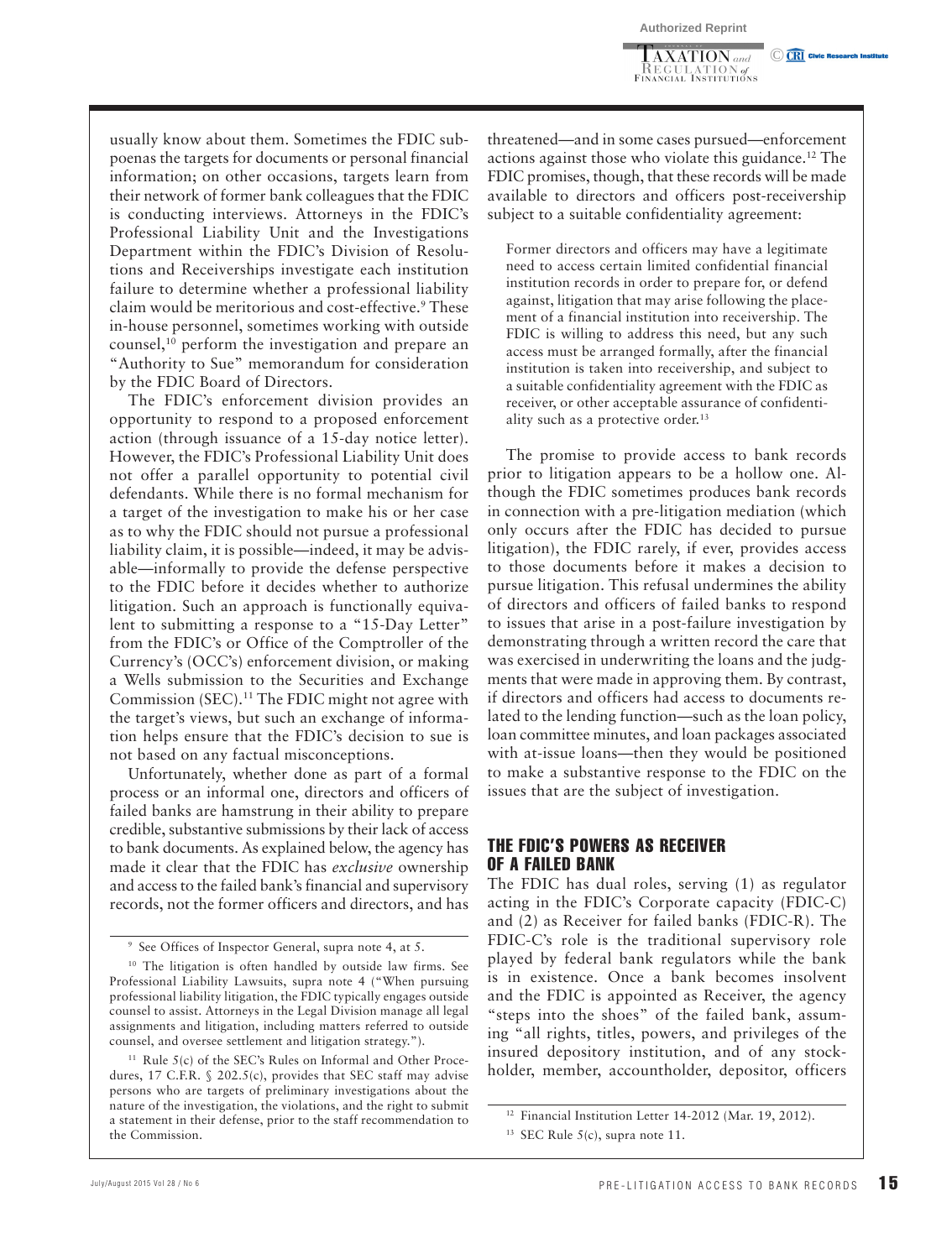$\overline{\text{AXATION}}$  and **INEGULATION** of<br>FINANCIAL INSTITUTIONS C CRI Civic Research In

usually know about them. Sometimes the FDIC subpoenas the targets for documents or personal financial information; on other occasions, targets learn from their network of former bank colleagues that the FDIC is conducting interviews. Attorneys in the FDIC's Professional Liability Unit and the Investigations Department within the FDIC's Division of Resolutions and Receiverships investigate each institution failure to determine whether a professional liability claim would be meritorious and cost-effective. 9 These in-house personnel, sometimes working with outside counsel, 10 perform the investigation and prepare an "Authority to Sue" memorandum for consideration by the FDIC Board of Directors.

The FDIC's enforcement division provides an opportunity to respond to a proposed enforcement action (through issuance of a 15-day notice letter). However, the FDIC's Professional Liability Unit does not offer a parallel opportunity to potential civil defendants. While there is no formal mechanism for a target of the investigation to make his or her case as to why the FDIC should not pursue a professional liability claim, it is possible—indeed, it may be advisable—informally to provide the defense perspective to the FDIC before it decides whether to authorize litigation. Such an approach is functionally equivalent to submitting a response to a "15-Day Letter" from the FDIC's or Office of the Comptroller of the Currency's (OCC's) enforcement division, or making a Wells submission to the Securities and Exchange Commission (SEC). 11 The FDIC might not agree with the target's views, but such an exchange of information helps ensure that the FDIC's decision to sue is not based on any factual misconceptions.

Unfortunately, whether done as part of a formal process or an informal one, directors and officers of failed banks are hamstrung in their ability to prepare credible, substantive submissions by their lack of access to bank documents. As explained below, the agency has made it clear that the FDIC has *exclusive* ownership and access to the failed bank's financial and supervisory records, not the former officers and directors, and has

threatened—and in some cases pursued—enforcement actions against those who violate this guidance. 12 The FDIC promises, though, that these records will be made available to directors and officers post-receivership subject to a suitable confidentiality agreement:

Former directors and officers may have a legitimate need to access certain limited confidential financial institution records in order to prepare for, or defend against, litigation that may arise following the placement of a financial institution into receivership. The FDIC is willing to address this need, but any such access must be arranged formally, after the financial institution is taken into receivership, and subject to a suitable confidentiality agreement with the FDIC as receiver, or other acceptable assurance of confidentiality such as a protective order.<sup>13</sup>

The promise to provide access to bank records prior to litigation appears to be a hollow one. Although the FDIC sometimes produces bank records in connection with a pre-litigation mediation (which only occurs after the FDIC has decided to pursue litigation), the FDIC rarely, if ever, provides access to those documents before it makes a decision to pursue litigation. This refusal undermines the ability of directors and officers of failed banks to respond to issues that arise in a post-failure investigation by demonstrating through a written record the care that was exercised in underwriting the loans and the judgments that were made in approving them. By contrast, if directors and officers had access to documents related to the lending function—such as the loan policy, loan committee minutes, and loan packages associated with at-issue loans—then they would be positioned to make a substantive response to the FDIC on the issues that are the subject of investigation.

### THE FDIC'S POWERS AS RECEIVER OF A FAILED BANK

The FDIC has dual roles, serving (1) as regulator acting in the FDIC's Corporate capacity (FDIC-C) and (2) as Receiver for failed banks (FDIC-R). The FDIC-C's role is the traditional supervisory role played by federal bank regulators while the bank is in existence. Once a bank becomes insolvent and the FDIC is appointed as Receiver, the agency "steps into the shoes" of the failed bank, assuming "all rights, titles, powers, and privileges of the insured depository institution, and of any stockholder, member, accountholder, depositor, officers

<sup>9</sup> See Offices of Inspector General, supra note 4, at 5.

<sup>&</sup>lt;sup>10</sup> The litigation is often handled by outside law firms. See Professional Liability Lawsuits, supra note 4 ("When pursuing professional liability litigation, the FDIC typically engages outside counsel to assist. Attorneys in the Legal Division manage all legal assignments and litigation, including matters referred to outside counsel, and oversee settlement and litigation strategy.").

 $11$  Rule 5(c) of the SEC's Rules on Informal and Other Procedures, 17 C.F.R. § 202.5(c), provides that SEC staff may advise persons who are targets of preliminary investigations about the nature of the investigation, the violations, and the right to submit a statement in their defense, prior to the staff recommendation to the Commission.

<sup>&</sup>lt;sup>12</sup> Financial Institution Letter 14-2012 (Mar. 19, 2012).

<sup>&</sup>lt;sup>13</sup> SEC Rule  $5(c)$ , supra note 11.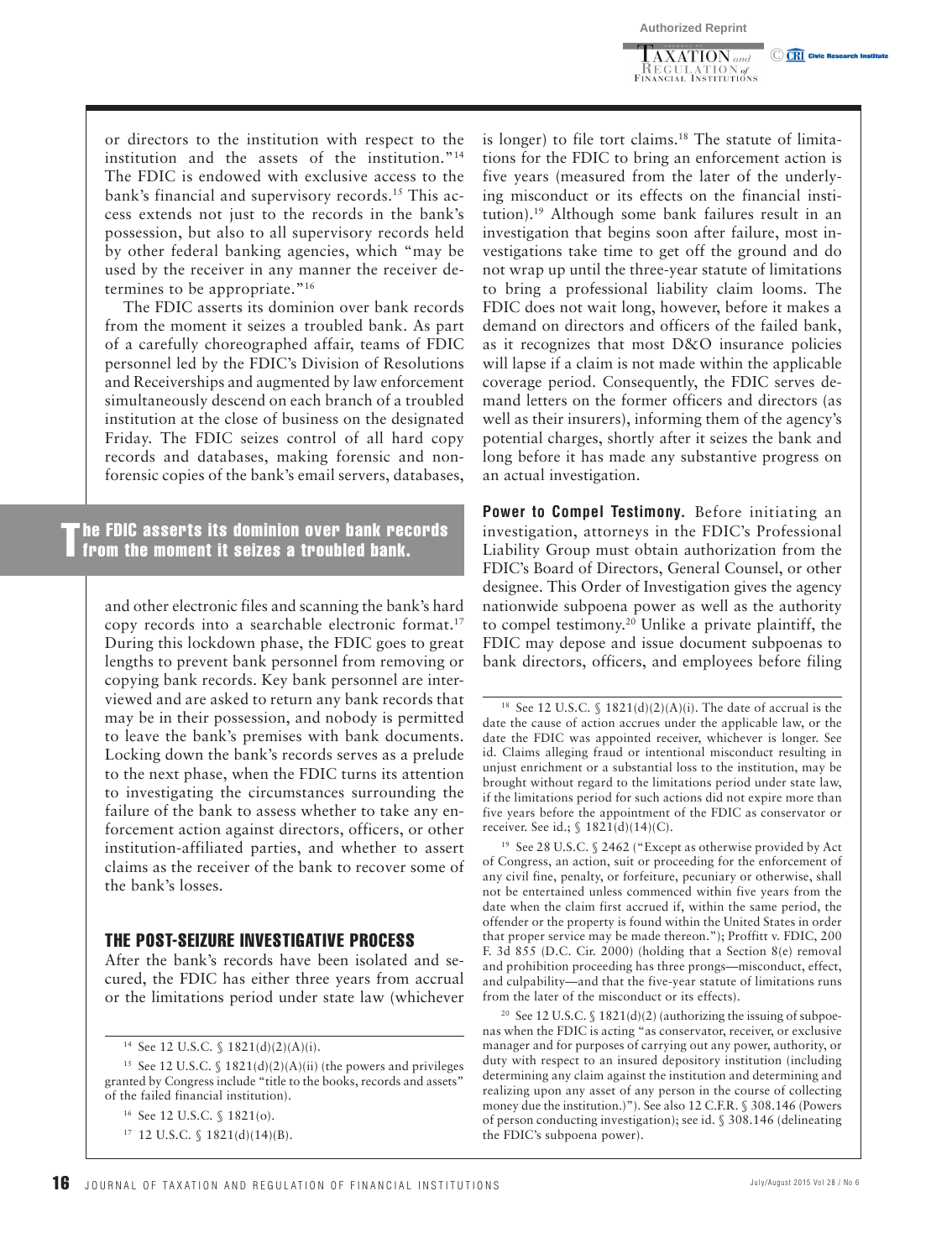$\overline{\text{AXATION}}$  and \_KEGULATION of<br>Financial Institutions C CRI Civic Research In

or directors to the institution with respect to the institution and the assets of the institution."<sup>14</sup> The FDIC is endowed with exclusive access to the bank's financial and supervisory records.<sup>15</sup> This access extends not just to the records in the bank's possession, but also to all supervisory records held by other federal banking agencies, which "may be used by the receiver in any manner the receiver determines to be appropriate." 16

The FDIC asserts its dominion over bank records from the moment it seizes a troubled bank. As part of a carefully choreographed affair, teams of FDIC personnel led by the FDIC's Division of Resolutions and Receiverships and augmented by law enforcement simultaneously descend on each branch of a troubled institution at the close of business on the designated Friday. The FDIC seizes control of all hard copy records and databases, making forensic and nonforensic copies of the bank's email servers, databases,

The FDIC asserts its dominion over bank records from the moment it seizes a troubled bank.

and other electronic files and scanning the bank's hard copy records into a searchable electronic format. 17 During this lockdown phase, the FDIC goes to great lengths to prevent bank personnel from removing or copying bank records. Key bank personnel are interviewed and are asked to return any bank records that may be in their possession, and nobody is permitted to leave the bank's premises with bank documents. Locking down the bank's records serves as a prelude to the next phase, when the FDIC turns its attention to investigating the circumstances surrounding the failure of the bank to assess whether to take any enforcement action against directors, officers, or other institution-affiliated parties, and whether to assert claims as the receiver of the bank to recover some of the bank's losses.

#### THE POST-SEIZURE INVESTIGATIVE PROCESS

After the bank's records have been isolated and secured, the FDIC has either three years from accrual or the limitations period under state law (whichever is longer) to file tort claims. 18 The statute of limitations for the FDIC to bring an enforcement action is five years (measured from the later of the underlying misconduct or its effects on the financial institution). 19 Although some bank failures result in an investigation that begins soon after failure, most investigations take time to get off the ground and do not wrap up until the three-year statute of limitations to bring a professional liability claim looms. The FDIC does not wait long, however, before it makes a demand on directors and officers of the failed bank, as it recognizes that most D&O insurance policies will lapse if a claim is not made within the applicable coverage period. Consequently, the FDIC serves demand letters on the former officers and directors (as well as their insurers), informing them of the agency's potential charges, shortly after it seizes the bank and long before it has made any substantive progress on an actual investigation.

 **Power to Compel Testimony.** Before initiating an investigation, attorneys in the FDIC's Professional Liability Group must obtain authorization from the FDIC's Board of Directors, General Counsel, or other designee. This Order of Investigation gives the agency nationwide subpoena power as well as the authority to compel testimony.<sup>20</sup> Unlike a private plaintiff, the FDIC may depose and issue document subpoenas to bank directors, officers, and employees before filing

19 See 28 U.S.C. § 2462 ("Except as otherwise provided by Act of Congress, an action, suit or proceeding for the enforcement of any civil fine, penalty, or forfeiture, pecuniary or otherwise, shall not be entertained unless commenced within five years from the date when the claim first accrued if, within the same period, the offender or the property is found within the United States in order that proper service may be made thereon."); Proffitt v. FDIC, 200 F. 3d 855 (D.C. Cir. 2000) (holding that a Section 8(e) removal and prohibition proceeding has three prongs—misconduct, effect, and culpability—and that the five-year statute of limitations runs from the later of the misconduct or its effects).

<sup>20</sup> See 12 U.S.C.  $\S$  1821(d)(2) (authorizing the issuing of subpoenas when the FDIC is acting "as conservator, receiver, or exclusive manager and for purposes of carrying out any power, authority, or duty with respect to an insured depository institution (including determining any claim against the institution and determining and realizing upon any asset of any person in the course of collecting money due the institution.)"). See also 12 C.F.R. § 308.146 (Powers of person conducting investigation); see id. § 308.146 (delineating the FDIC's subpoena power).

<sup>14</sup> See 12 U.S.C. § 1821(d)(2)(A)(i).

<sup>&</sup>lt;sup>15</sup> See 12 U.S.C. § 1821(d)(2)(A)(ii) (the powers and privileges granted by Congress include "title to the books, records and assets" of the failed financial institution).

<sup>16</sup> See 12 U.S.C. § 1821(o).

<sup>17 12</sup> U.S.C. § 1821(d)(14)(B).

<sup>&</sup>lt;sup>18</sup> See 12 U.S.C. § 1821(d)(2)(A)(i). The date of accrual is the date the cause of action accrues under the applicable law, or the date the FDIC was appointed receiver, whichever is longer. See id. Claims alleging fraud or intentional misconduct resulting in unjust enrichment or a substantial loss to the institution, may be brought without regard to the limitations period under state law, if the limitations period for such actions did not expire more than five years before the appointment of the FDIC as conservator or receiver. See id.; § 1821(d)(14)(C).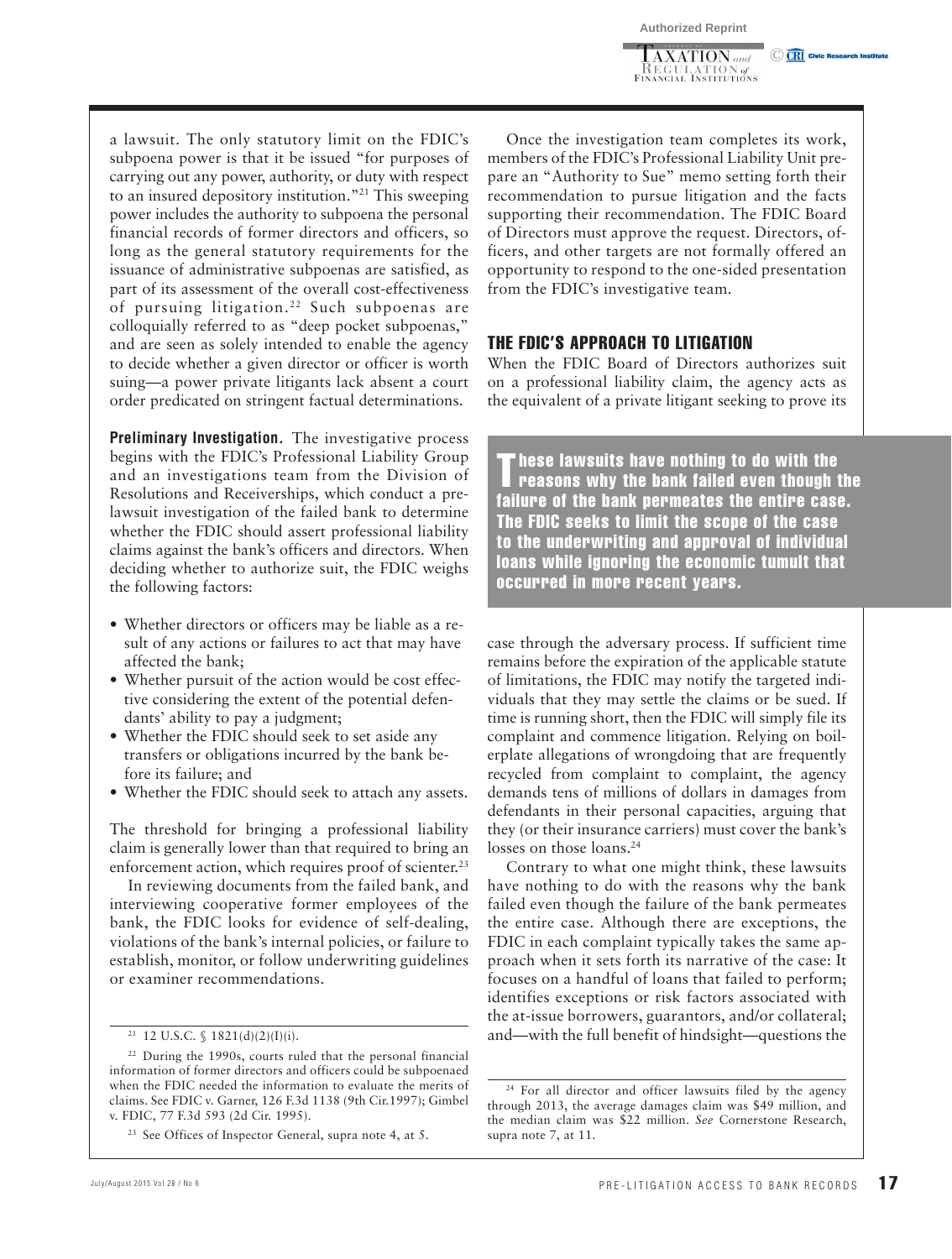$\overline{\text{AXATION}}$  and **KEGULATION** of<br>Financial Institutions **CET** Civic Research In

a lawsuit. The only statutory limit on the FDIC's subpoena power is that it be issued "for purposes of carrying out any power, authority, or duty with respect to an insured depository institution."<sup>21</sup> This sweeping power includes the authority to subpoena the personal financial records of former directors and officers, so long as the general statutory requirements for the issuance of administrative subpoenas are satisfied, as part of its assessment of the overall cost-effectiveness of pursuing litigation.<sup>22</sup> Such subpoenas are colloquially referred to as "deep pocket subpoenas," and are seen as solely intended to enable the agency to decide whether a given director or officer is worth suing—a power private litigants lack absent a court order predicated on stringent factual determinations.

 **Preliminary Investigation.** The investigative process begins with the FDIC's Professional Liability Group and an investigations team from the Division of Resolutions and Receiverships, which conduct a prelawsuit investigation of the failed bank to determine whether the FDIC should assert professional liability claims against the bank's officers and directors. When deciding whether to authorize suit, the FDIC weighs the following factors:

- Whether directors or officers may be liable as a result of any actions or failures to act that may have affected the bank;
- Whether pursuit of the action would be cost effective considering the extent of the potential defendants' ability to pay a judgment;
- Whether the FDIC should seek to set aside any transfers or obligations incurred by the bank before its failure; and
- Whether the FDIC should seek to attach any assets.

The threshold for bringing a professional liability claim is generally lower than that required to bring an enforcement action, which requires proof of scienter.<sup>23</sup>

In reviewing documents from the failed bank, and interviewing cooperative former employees of the bank, the FDIC looks for evidence of self-dealing, violations of the bank's internal policies, or failure to establish, monitor, or follow underwriting guidelines or examiner recommendations.

Once the investigation team completes its work, members of the FDIC's Professional Liability Unit prepare an "Authority to Sue" memo setting forth their recommendation to pursue litigation and the facts supporting their recommendation. The FDIC Board of Directors must approve the request. Directors, officers, and other targets are not formally offered an opportunity to respond to the one-sided presentation from the FDIC's investigative team.

#### THE FDIC'S APPROACH TO LITIGATION

When the FDIC Board of Directors authorizes suit on a professional liability claim, the agency acts as the equivalent of a private litigant seeking to prove its

These lawsuits have nothing to do with the reasons why the bank failed even though the failure of the bank permeates the entire case. The FDIC seeks to limit the scope of the case to the underwriting and approval of individual loans while ignoring the economic tumult that occurred in more recent years.

case through the adversary process. If sufficient time remains before the expiration of the applicable statute of limitations, the FDIC may notify the targeted individuals that they may settle the claims or be sued. If time is running short, then the FDIC will simply file its complaint and commence litigation. Relying on boilerplate allegations of wrongdoing that are frequently recycled from complaint to complaint, the agency demands tens of millions of dollars in damages from defendants in their personal capacities, arguing that they (or their insurance carriers) must cover the bank's losses on those loans.<sup>24</sup>

Contrary to what one might think, these lawsuits have nothing to do with the reasons why the bank failed even though the failure of the bank permeates the entire case. Although there are exceptions, the FDIC in each complaint typically takes the same approach when it sets forth its narrative of the case: It focuses on a handful of loans that failed to perform; identifies exceptions or risk factors associated with the at-issue borrowers, guarantors, and/or collateral; and—with the full benefit of hindsight—questions the

 $21$  12 U.S.C. § 1821(d)(2)(I)(i).

<sup>&</sup>lt;sup>22</sup> During the 1990s, courts ruled that the personal financial information of former directors and officers could be subpoenaed when the FDIC needed the information to evaluate the merits of claims. See FDIC v. Garner, 126 F.3d 1138 (9th Cir.1997); Gimbel v. FDIC, 77 F.3d 593 (2d Cir. 1995).

<sup>23</sup> See Offices of Inspector General, supra note 4, at 5.

<sup>24</sup> For all director and officer lawsuits filed by the agency through 2013, the average damages claim was \$49 million, and the median claim was \$22 million. *See* Cornerstone Research, supra note 7, at 11.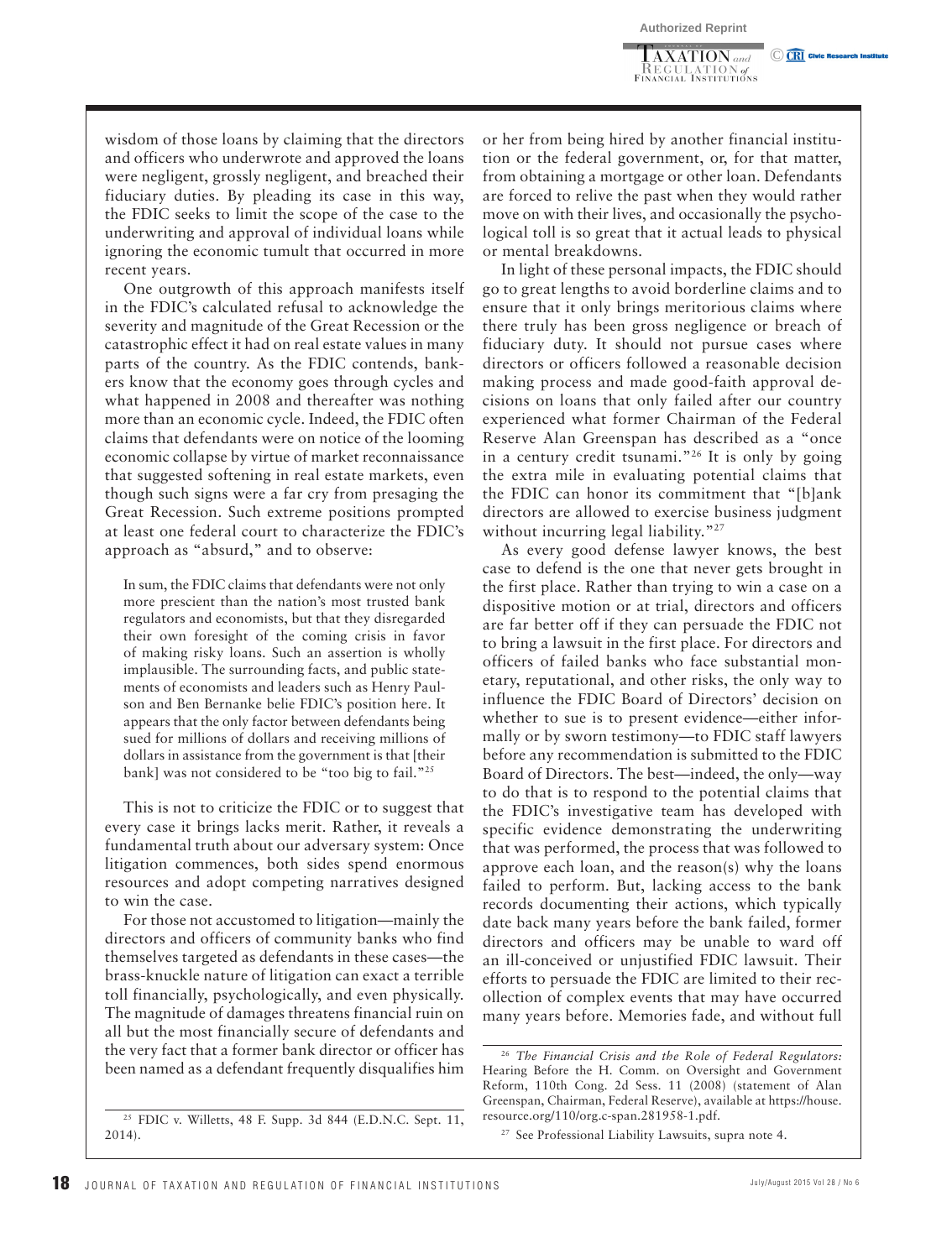$\overline{\text{AXATION}}$  and \_KEGULATION of<br>Financial Institutions C CRI Civic Research In

wisdom of those loans by claiming that the directors and officers who underwrote and approved the loans were negligent, grossly negligent, and breached their fiduciary duties. By pleading its case in this way, the FDIC seeks to limit the scope of the case to the underwriting and approval of individual loans while ignoring the economic tumult that occurred in more recent years.

One outgrowth of this approach manifests itself in the FDIC's calculated refusal to acknowledge the severity and magnitude of the Great Recession or the catastrophic effect it had on real estate values in many parts of the country. As the FDIC contends, bankers know that the economy goes through cycles and what happened in 2008 and thereafter was nothing more than an economic cycle. Indeed, the FDIC often claims that defendants were on notice of the looming economic collapse by virtue of market reconnaissance that suggested softening in real estate markets, even though such signs were a far cry from presaging the Great Recession. Such extreme positions prompted at least one federal court to characterize the FDIC's approach as "absurd," and to observe:

In sum, the FDIC claims that defendants were not only more prescient than the nation's most trusted bank regulators and economists, but that they disregarded their own foresight of the coming crisis in favor of making risky loans. Such an assertion is wholly implausible. The surrounding facts, and public statements of economists and leaders such as Henry Paulson and Ben Bernanke belie FDIC's position here. It appears that the only factor between defendants being sued for millions of dollars and receiving millions of dollars in assistance from the government is that [their bank] was not considered to be "too big to fail."<sup>25</sup>

This is not to criticize the FDIC or to suggest that every case it brings lacks merit. Rather, it reveals a fundamental truth about our adversary system: Once litigation commences, both sides spend enormous resources and adopt competing narratives designed to win the case.

For those not accustomed to litigation—mainly the directors and officers of community banks who find themselves targeted as defendants in these cases—the brass-knuckle nature of litigation can exact a terrible toll financially, psychologically, and even physically. The magnitude of damages threatens financial ruin on all but the most financially secure of defendants and the very fact that a former bank director or officer has been named as a defendant frequently disqualifies him

or her from being hired by another financial institution or the federal government, or, for that matter, from obtaining a mortgage or other loan. Defendants are forced to relive the past when they would rather move on with their lives, and occasionally the psychological toll is so great that it actual leads to physical or mental breakdowns.

In light of these personal impacts, the FDIC should go to great lengths to avoid borderline claims and to ensure that it only brings meritorious claims where there truly has been gross negligence or breach of fiduciary duty. It should not pursue cases where directors or officers followed a reasonable decision making process and made good-faith approval decisions on loans that only failed after our country experienced what former Chairman of the Federal Reserve Alan Greenspan has described as a "once in a century credit tsunami."<sup>26</sup> It is only by going the extra mile in evaluating potential claims that the FDIC can honor its commitment that "[b]ank directors are allowed to exercise business judgment without incurring legal liability."<sup>27</sup>

As every good defense lawyer knows, the best case to defend is the one that never gets brought in the first place. Rather than trying to win a case on a dispositive motion or at trial, directors and officers are far better off if they can persuade the FDIC not to bring a lawsuit in the first place. For directors and officers of failed banks who face substantial monetary, reputational, and other risks, the only way to influence the FDIC Board of Directors' decision on whether to sue is to present evidence—either informally or by sworn testimony—to FDIC staff lawyers before any recommendation is submitted to the FDIC Board of Directors. The best—indeed, the only—way to do that is to respond to the potential claims that the FDIC's investigative team has developed with specific evidence demonstrating the underwriting that was performed, the process that was followed to approve each loan, and the reason(s) why the loans failed to perform. But, lacking access to the bank records documenting their actions, which typically date back many years before the bank failed, former directors and officers may be unable to ward off an ill-conceived or unjustified FDIC lawsuit. Their efforts to persuade the FDIC are limited to their recollection of complex events that may have occurred many years before. Memories fade, and without full

<sup>25</sup> FDIC v. Willetts, 48 F. Supp. 3d 844 (E.D.N.C. Sept. 11, 2014).

<sup>26</sup> *The Financial Crisis and the Role of Federal Regulators:* Hearing Before the H. Comm. on Oversight and Government Reform, 110th Cong. 2d Sess. 11 (2008) (statement of Alan Greenspan, Chairman, Federal Reserve), available at https://house. resource.org/110/org.c-span.281958-1.pdf.

<sup>27</sup> See Professional Liability Lawsuits, supra note 4.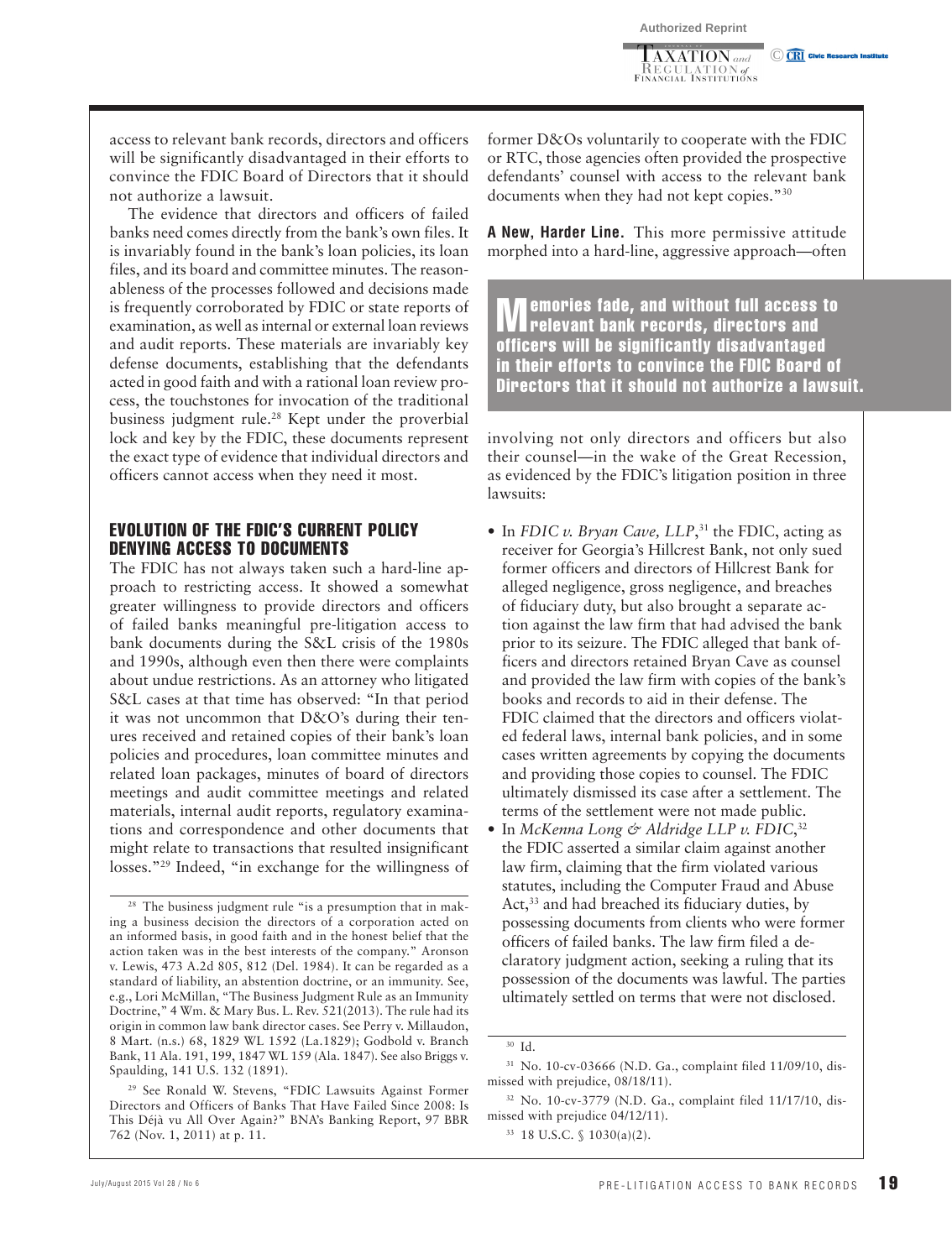$\overline{\text{AXATION}}$  and **KEGULATION** of<br>Financial Institutions **CET** Civic Research In

access to relevant bank records, directors and officers will be significantly disadvantaged in their efforts to convince the FDIC Board of Directors that it should not authorize a lawsuit.

The evidence that directors and officers of failed banks need comes directly from the bank's own files. It is invariably found in the bank's loan policies, its loan files, and its board and committee minutes. The reasonableness of the processes followed and decisions made is frequently corroborated by FDIC or state reports of examination, as well as internal or external loan reviews and audit reports. These materials are invariably key defense documents, establishing that the defendants acted in good faith and with a rational loan review process, the touchstones for invocation of the traditional business judgment rule.<sup>28</sup> Kept under the proverbial lock and key by the FDIC, these documents represent the exact type of evidence that individual directors and officers cannot access when they need it most.

#### EVOLUTION OF THE FDIC'S CURRENT POLICY DENYING ACCESS TO DOCUMENTS

The FDIC has not always taken such a hard-line approach to restricting access. It showed a somewhat greater willingness to provide directors and officers of failed banks meaningful pre-litigation access to bank documents during the S&L crisis of the 1980s and 1990s, although even then there were complaints about undue restrictions. As an attorney who litigated S&L cases at that time has observed: "In that period it was not uncommon that D&O's during their tenures received and retained copies of their bank's loan policies and procedures, loan committee minutes and related loan packages, minutes of board of directors meetings and audit committee meetings and related materials, internal audit reports, regulatory examinations and correspondence and other documents that might relate to transactions that resulted insignificant losses."<sup>29</sup> Indeed, "in exchange for the willingness of

former D&Os voluntarily to cooperate with the FDIC or RTC, those agencies often provided the prospective defendants' counsel with access to the relevant bank documents when they had not kept copies."<sup>30</sup>

 **A New, Harder Line.** This more permissive attitude morphed into a hard-line, aggressive approach—often

**Memories fade, and without full access to relevant bank records, directors and relaxation** officers will be significantly disadvantaged in their efforts to convince the FDIC Board of Directors that it should not authorize a lawsuit.

involving not only directors and officers but also their counsel—in the wake of the Great Recession, as evidenced by the FDIC's litigation position in three lawsuits:

- In *FDIC v. Bryan Cave, LLP*,<sup>31</sup> the FDIC, acting as receiver for Georgia's Hillcrest Bank, not only sued former officers and directors of Hillcrest Bank for alleged negligence, gross negligence, and breaches of fiduciary duty, but also brought a separate action against the law firm that had advised the bank prior to its seizure. The FDIC alleged that bank officers and directors retained Bryan Cave as counsel and provided the law firm with copies of the bank's books and records to aid in their defense. The FDIC claimed that the directors and officers violated federal laws, internal bank policies, and in some cases written agreements by copying the documents and providing those copies to counsel. The FDIC ultimately dismissed its case after a settlement. The terms of the settlement were not made public.
- In *McKenna Long & Aldridge LLP v. FDIC*,<sup>32</sup> the FDIC asserted a similar claim against another law firm, claiming that the firm violated various statutes, including the Computer Fraud and Abuse Act,<sup>33</sup> and had breached its fiduciary duties, by possessing documents from clients who were former officers of failed banks. The law firm filed a declaratory judgment action, seeking a ruling that its possession of the documents was lawful. The parties ultimately settled on terms that were not disclosed.

<sup>&</sup>lt;sup>28</sup> The business judgment rule "is a presumption that in making a business decision the directors of a corporation acted on an informed basis, in good faith and in the honest belief that the action taken was in the best interests of the company." Aronson v. Lewis, 473 A.2d 805, 812 (Del. 1984). It can be regarded as a standard of liability, an abstention doctrine, or an immunity. See, e.g., Lori McMillan, "The Business Judgment Rule as an Immunity Doctrine," 4 Wm. & Mary Bus. L. Rev. 521(2013). The rule had its origin in common law bank director cases. See Perry v. Millaudon, 8 Mart. (n.s.) 68, 1829 WL 1592 (La.1829); Godbold v. Branch Bank, 11 Ala. 191, 199, 1847 WL 159 (Ala. 1847). See also Briggs v. Spaulding, 141 U.S. 132 (1891).

<sup>29</sup> See Ronald W. Stevens, "FDIC Lawsuits Against Former Directors and Officers of Banks That Have Failed Since 2008: Is This Déjà vu All Over Again?" BNA's Banking Report, 97 BBR 762 (Nov. 1, 2011) at p. 11.

<sup>30</sup> Id.

<sup>31</sup> No. 10-cv-03666 (N.D. Ga., complaint filed 11/09/10, dismissed with prejudice, 08/18/11).

<sup>32</sup> No. 10-cv-3779 (N.D. Ga., complaint filed 11/17/10, dismissed with prejudice 04/12/11).

<sup>33 18</sup> U.S.C. § 1030(a)(2).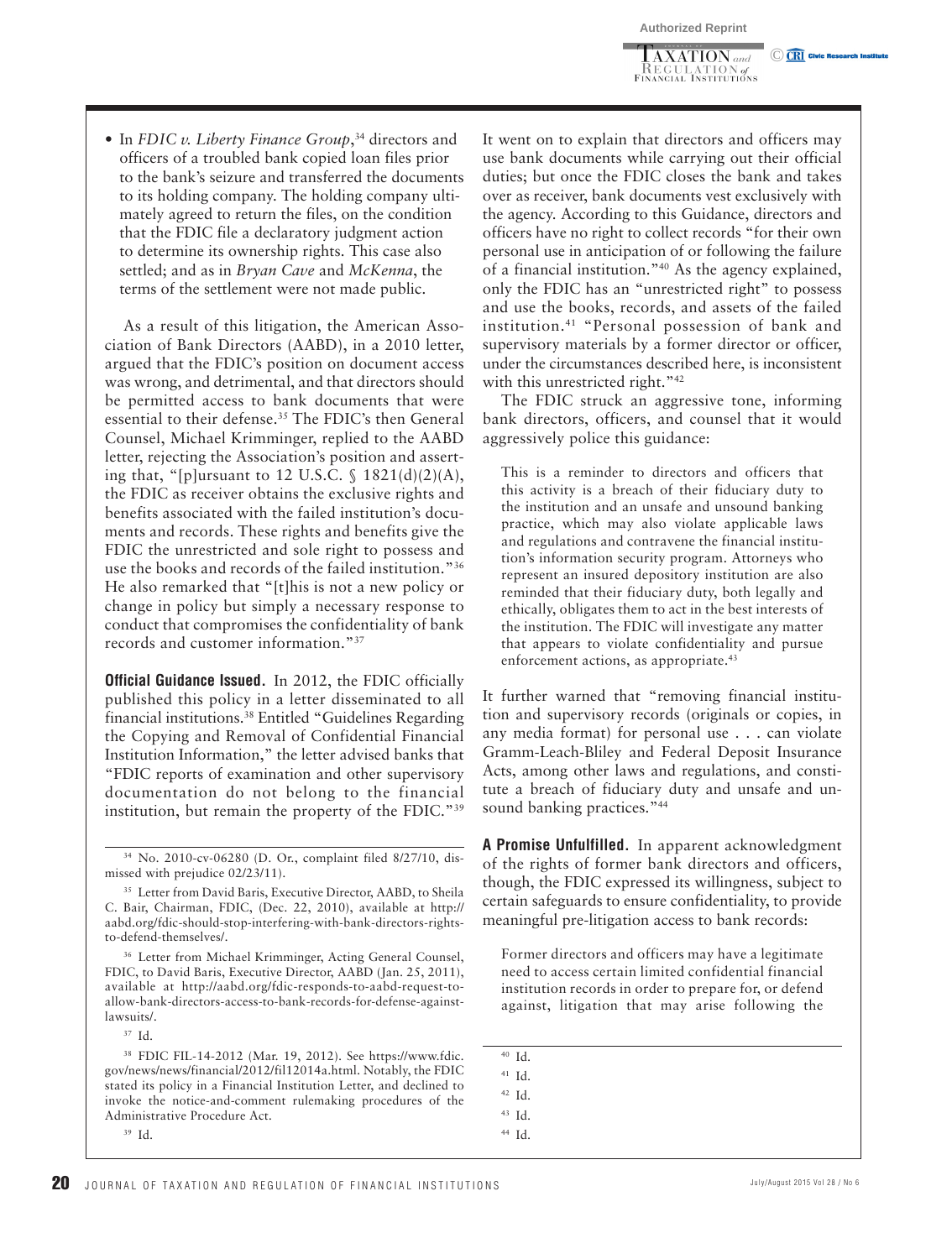$\overline{\text{AXATION}}$  and \_KEGULATION of<br>Financial Institutions C CRI Civic Res

• In *FDIC v. Liberty Finance Group*,<sup>34</sup> directors and officers of a troubled bank copied loan files prior to the bank's seizure and transferred the documents to its holding company. The holding company ultimately agreed to return the files, on the condition that the FDIC file a declaratory judgment action to determine its ownership rights. This case also settled; and as in *Bryan Cave* and *McKenna* , the terms of the settlement were not made public.

As a result of this litigation, the American Association of Bank Directors (AABD), in a 2010 letter, argued that the FDIC's position on document access was wrong, and detrimental, and that directors should be permitted access to bank documents that were essential to their defense. 35 The FDIC's then General Counsel, Michael Krimminger, replied to the AABD letter, rejecting the Association's position and asserting that, "[p]ursuant to 12 U.S.C.  $\$$  1821(d)(2)(A), the FDIC as receiver obtains the exclusive rights and benefits associated with the failed institution's documents and records. These rights and benefits give the FDIC the unrestricted and sole right to possess and use the books and records of the failed institution." 36 He also remarked that "[t]his is not a new policy or change in policy but simply a necessary response to conduct that compromises the confidentiality of bank records and customer information."<sup>37</sup>

 **Official Guidance Issued.** In 2012, the FDIC officially published this policy in a letter disseminated to all financial institutions. 38 Entitled "Guidelines Regarding the Copying and Removal of Confidential Financial Institution Information," the letter advised banks that "FDIC reports of examination and other supervisory documentation do not belong to the financial institution, but remain the property of the FDIC." 39

34 No. 2010-cv-06280 (D. Or., complaint filed 8/27/10, dismissed with prejudice 02/23/11).

<sup>35</sup> Letter from David Baris, Executive Director, AABD, to Sheila C. Bair, Chairman, FDIC, (Dec. 22, 2010), available at http:// aabd.org/fdic-should-stop-interfering-with-bank-directors-rightsto-defend-themselves/.

36 Letter from Michael Krimminger, Acting General Counsel, FDIC, to David Baris, Executive Director, AABD (Jan. 25, 2011), available at http://aabd.org/fdic-responds-to-aabd-request-toallow-bank-directors-access-to-bank-records-for-defense-againstlawsuits/.

37 Id.

38 FDIC FIL-14-2012 (Mar. 19, 2012). See https://www.fdic. gov/news/news/financial/2012/fil12014a.html. Notably, the FDIC stated its policy in a Financial Institution Letter, and declined to invoke the notice-and-comment rulemaking procedures of the Administrative Procedure Act.

39 Id.

It went on to explain that directors and officers may use bank documents while carrying out their official duties; but once the FDIC closes the bank and takes over as receiver, bank documents vest exclusively with the agency. According to this Guidance, directors and officers have no right to collect records "for their own personal use in anticipation of or following the failure of a financial institution." 40 As the agency explained, only the FDIC has an "unrestricted right" to possess and use the books, records, and assets of the failed institution. 41 "Personal possession of bank and supervisory materials by a former director or officer, under the circumstances described here, is inconsistent with this unrestricted right."<sup>42</sup>

The FDIC struck an aggressive tone, informing bank directors, officers, and counsel that it would aggressively police this guidance:

This is a reminder to directors and officers that this activity is a breach of their fiduciary duty to the institution and an unsafe and unsound banking practice, which may also violate applicable laws and regulations and contravene the financial institution's information security program. Attorneys who represent an insured depository institution are also reminded that their fiduciary duty, both legally and ethically, obligates them to act in the best interests of the institution. The FDIC will investigate any matter that appears to violate confidentiality and pursue enforcement actions, as appropriate.<sup>43</sup>

It further warned that "removing financial institution and supervisory records (originals or copies, in any media format) for personal use . . . can violate Gramm-Leach-Bliley and Federal Deposit Insurance Acts, among other laws and regulations, and constitute a breach of fiduciary duty and unsafe and unsound banking practices."<sup>44</sup>

 **A Promise Unfulfilled.** In apparent acknowledgment of the rights of former bank directors and officers, though, the FDIC expressed its willingness, subject to certain safeguards to ensure confidentiality, to provide meaningful pre-litigation access to bank records:

Former directors and officers may have a legitimate need to access certain limited confidential financial institution records in order to prepare for, or defend against, litigation that may arise following the

- 40 Id.
- 41 Id.

42 Id.

43 Id.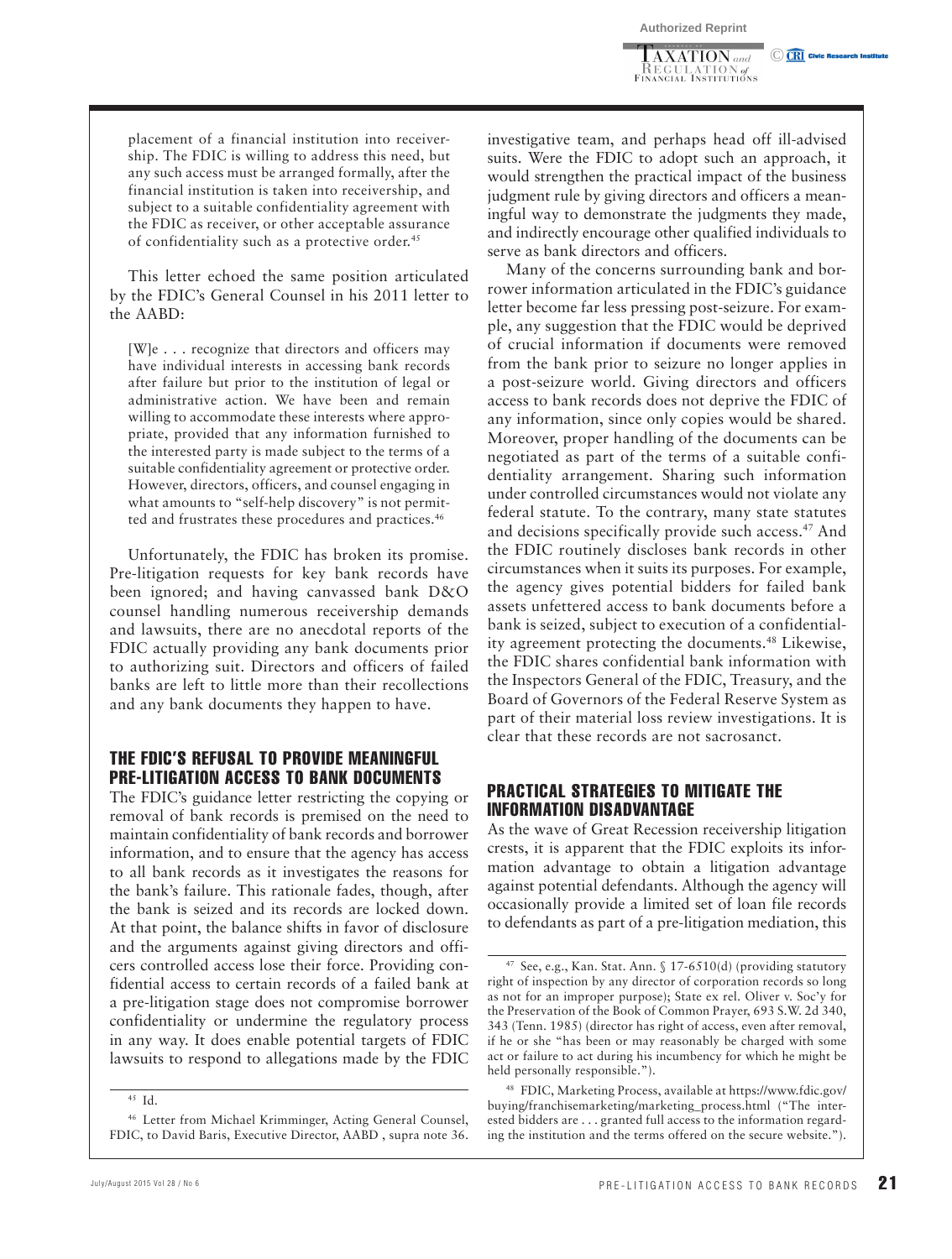$\overline{\text{[AXATION]}$  and **KEGULATION** of<br>Financial Institutions C CRI Civic Research In

placement of a financial institution into receivership. The FDIC is willing to address this need, but any such access must be arranged formally, after the financial institution is taken into receivership, and subject to a suitable confidentiality agreement with the FDIC as receiver, or other acceptable assurance of confidentiality such as a protective order. 45

This letter echoed the same position articulated by the FDIC's General Counsel in his 2011 letter to the AABD:

[W]e . . . recognize that directors and officers may have individual interests in accessing bank records after failure but prior to the institution of legal or administrative action. We have been and remain willing to accommodate these interests where appropriate, provided that any information furnished to the interested party is made subject to the terms of a suitable confidentiality agreement or protective order. However, directors, officers, and counsel engaging in what amounts to "self-help discovery" is not permitted and frustrates these procedures and practices. 46

Unfortunately, the FDIC has broken its promise. Pre-litigation requests for key bank records have been ignored; and having canvassed bank D&O counsel handling numerous receivership demands and lawsuits, there are no anecdotal reports of the FDIC actually providing any bank documents prior to authorizing suit. Directors and officers of failed banks are left to little more than their recollections and any bank documents they happen to have.

#### THE FDIC'S REFUSAL TO PROVIDE MEANINGFUL PRE-LITIGATION ACCESS TO BANK DOCUMENTS

The FDIC's guidance letter restricting the copying or removal of bank records is premised on the need to maintain confidentiality of bank records and borrower information, and to ensure that the agency has access to all bank records as it investigates the reasons for the bank's failure. This rationale fades, though, after the bank is seized and its records are locked down. At that point, the balance shifts in favor of disclosure and the arguments against giving directors and officers controlled access lose their force. Providing confidential access to certain records of a failed bank at a pre-litigation stage does not compromise borrower confidentiality or undermine the regulatory process in any way. It does enable potential targets of FDIC lawsuits to respond to allegations made by the FDIC investigative team, and perhaps head off ill-advised suits. Were the FDIC to adopt such an approach, it would strengthen the practical impact of the business judgment rule by giving directors and officers a meaningful way to demonstrate the judgments they made, and indirectly encourage other qualified individuals to serve as bank directors and officers.

Many of the concerns surrounding bank and borrower information articulated in the FDIC's guidance letter become far less pressing post-seizure. For example, any suggestion that the FDIC would be deprived of crucial information if documents were removed from the bank prior to seizure no longer applies in a post-seizure world. Giving directors and officers access to bank records does not deprive the FDIC of any information, since only copies would be shared. Moreover, proper handling of the documents can be negotiated as part of the terms of a suitable confidentiality arrangement. Sharing such information under controlled circumstances would not violate any federal statute. To the contrary, many state statutes and decisions specifically provide such access.<sup>47</sup> And the FDIC routinely discloses bank records in other circumstances when it suits its purposes. For example, the agency gives potential bidders for failed bank assets unfettered access to bank documents before a bank is seized, subject to execution of a confidentiality agreement protecting the documents. 48 Likewise, the FDIC shares confidential bank information with the Inspectors General of the FDIC, Treasury, and the Board of Governors of the Federal Reserve System as part of their material loss review investigations. It is clear that these records are not sacrosanct.

#### PRACTICAL STRATEGIES TO MITIGATE THE INFORMATION DISADVANTAGE

As the wave of Great Recession receivership litigation crests, it is apparent that the FDIC exploits its information advantage to obtain a litigation advantage against potential defendants. Although the agency will occasionally provide a limited set of loan file records to defendants as part of a pre-litigation mediation, this

 $45$  Id.

<sup>46</sup> Letter from Michael Krimminger, Acting General Counsel, FDIC, to David Baris, Executive Director, AABD , supra note 36.

See, e.g., Kan. Stat. Ann. § 17-6510(d) (providing statutory right of inspection by any director of corporation records so long as not for an improper purpose); State ex rel. Oliver v. Soc'y for the Preservation of the Book of Common Prayer, 693 S.W. 2d 340, 343 (Tenn. 1985) (director has right of access, even after removal, if he or she "has been or may reasonably be charged with some act or failure to act during his incumbency for which he might be held personally responsible.").

<sup>48</sup> FDIC, Marketing Process, available at https://www.fdic.gov/ buying/franchisemarketing/marketing\_process.html ("The interested bidders are . . . granted full access to the information regarding the institution and the terms offered on the secure website.").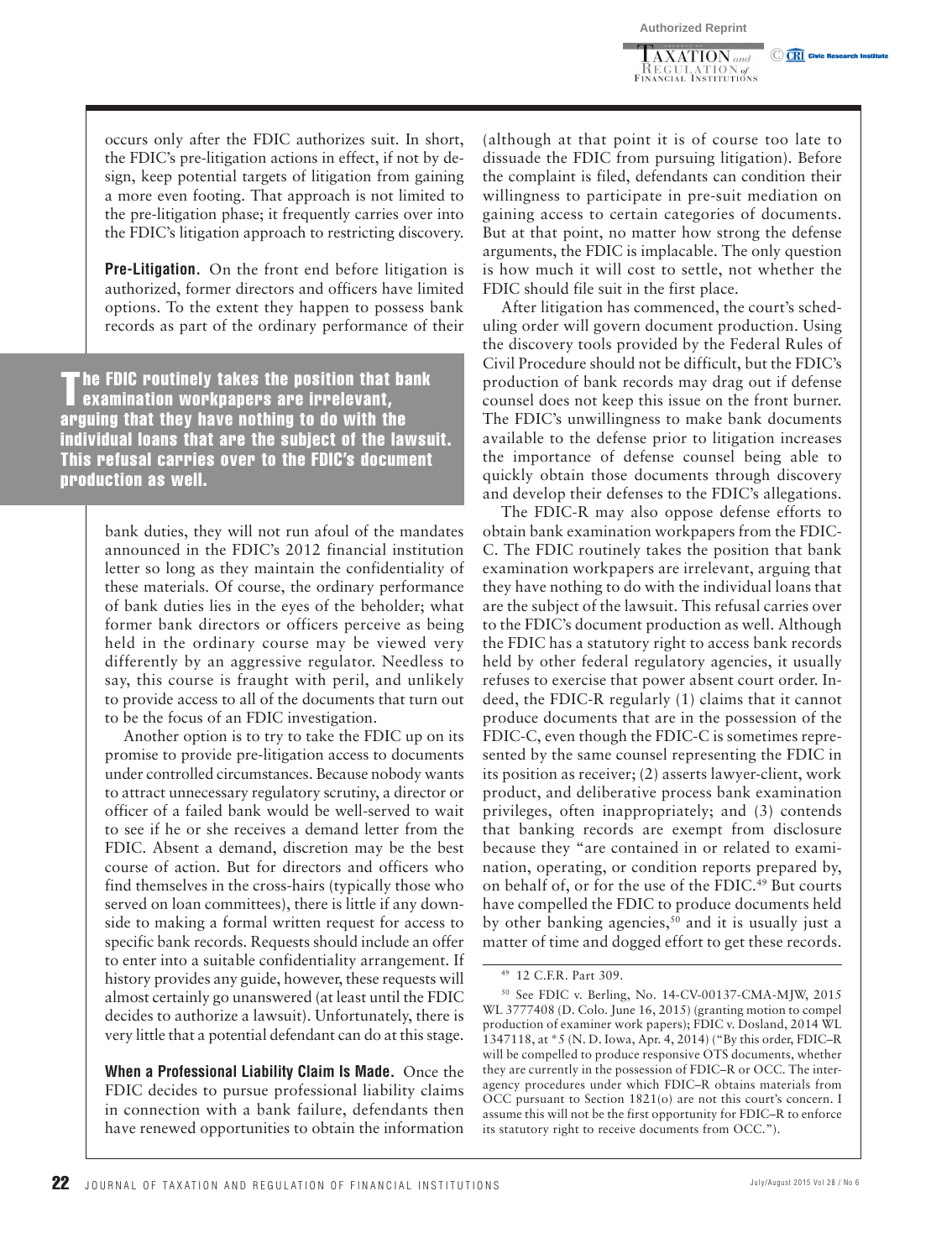$\overline{\text{AXATION}}$  and **KEGULATION** of<br>Financial Institutions C CRI Civic Research In

occurs only after the FDIC authorizes suit. In short, the FDIC's pre-litigation actions in effect, if not by design, keep potential targets of litigation from gaining a more even footing. That approach is not limited to the pre-litigation phase; it frequently carries over into the FDIC's litigation approach to restricting discovery.

 **Pre-Litigation.** On the front end before litigation is authorized, former directors and officers have limited options. To the extent they happen to possess bank records as part of the ordinary performance of their

The FDIC routinely takes the position that bank examination workpapers are irrelevant, arguing that they have nothing to do with the individual loans that are the subject of the lawsuit. This refusal carries over to the FDIC's document production as well.

> bank duties, they will not run afoul of the mandates announced in the FDIC's 2012 financial institution letter so long as they maintain the confidentiality of these materials. Of course, the ordinary performance of bank duties lies in the eyes of the beholder; what former bank directors or officers perceive as being held in the ordinary course may be viewed very differently by an aggressive regulator. Needless to say, this course is fraught with peril, and unlikely to provide access to all of the documents that turn out to be the focus of an FDIC investigation.

> Another option is to try to take the FDIC up on its promise to provide pre-litigation access to documents under controlled circumstances. Because nobody wants to attract unnecessary regulatory scrutiny, a director or officer of a failed bank would be well-served to wait to see if he or she receives a demand letter from the FDIC. Absent a demand, discretion may be the best course of action. But for directors and officers who find themselves in the cross-hairs (typically those who served on loan committees), there is little if any downside to making a formal written request for access to specific bank records. Requests should include an offer to enter into a suitable confidentiality arrangement. If history provides any guide, however, these requests will almost certainly go unanswered (at least until the FDIC decides to authorize a lawsuit). Unfortunately, there is very little that a potential defendant can do at this stage.

> **When a Professional Liability Claim Is Made.** Once the FDIC decides to pursue professional liability claims in connection with a bank failure, defendants then have renewed opportunities to obtain the information

(although at that point it is of course too late to dissuade the FDIC from pursuing litigation). Before the complaint is filed, defendants can condition their willingness to participate in pre-suit mediation on gaining access to certain categories of documents. But at that point, no matter how strong the defense arguments, the FDIC is implacable. The only question is how much it will cost to settle, not whether the FDIC should file suit in the first place.

After litigation has commenced, the court's scheduling order will govern document production. Using the discovery tools provided by the Federal Rules of Civil Procedure should not be difficult, but the FDIC's production of bank records may drag out if defense counsel does not keep this issue on the front burner. The FDIC's unwillingness to make bank documents available to the defense prior to litigation increases the importance of defense counsel being able to quickly obtain those documents through discovery and develop their defenses to the FDIC's allegations.

The FDIC-R may also oppose defense efforts to obtain bank examination workpapers from the FDIC-C. The FDIC routinely takes the position that bank examination workpapers are irrelevant, arguing that they have nothing to do with the individual loans that are the subject of the lawsuit. This refusal carries over to the FDIC's document production as well. Although the FDIC has a statutory right to access bank records held by other federal regulatory agencies, it usually refuses to exercise that power absent court order. Indeed, the FDIC-R regularly (1) claims that it cannot produce documents that are in the possession of the FDIC-C, even though the FDIC-C is sometimes represented by the same counsel representing the FDIC in its position as receiver; (2) asserts lawyer-client, work product, and deliberative process bank examination privileges, often inappropriately; and (3) contends that banking records are exempt from disclosure because they "are contained in or related to examination, operating, or condition reports prepared by, on behalf of, or for the use of the FDIC. 49 But courts have compelled the FDIC to produce documents held by other banking agencies,<sup>50</sup> and it is usually just a matter of time and dogged effort to get these records.

<sup>49 12</sup> C.F.R. Part 309.

<sup>50</sup> See FDIC v. Berling, No. 14-CV-00137-CMA-MJW, 2015 WL 3777408 (D. Colo. June 16, 2015) (granting motion to compel production of examiner work papers); FDIC v. Dosland, 2014 WL 1347118, at \*5 (N. D. Iowa, Apr. 4, 2014) ("By this order, FDIC–R will be compelled to produce responsive OTS documents, whether they are currently in the possession of FDIC–R or OCC. The interagency procedures under which FDIC–R obtains materials from OCC pursuant to Section 1821(o) are not this court's concern. I assume this will not be the first opportunity for FDIC–R to enforce its statutory right to receive documents from OCC.").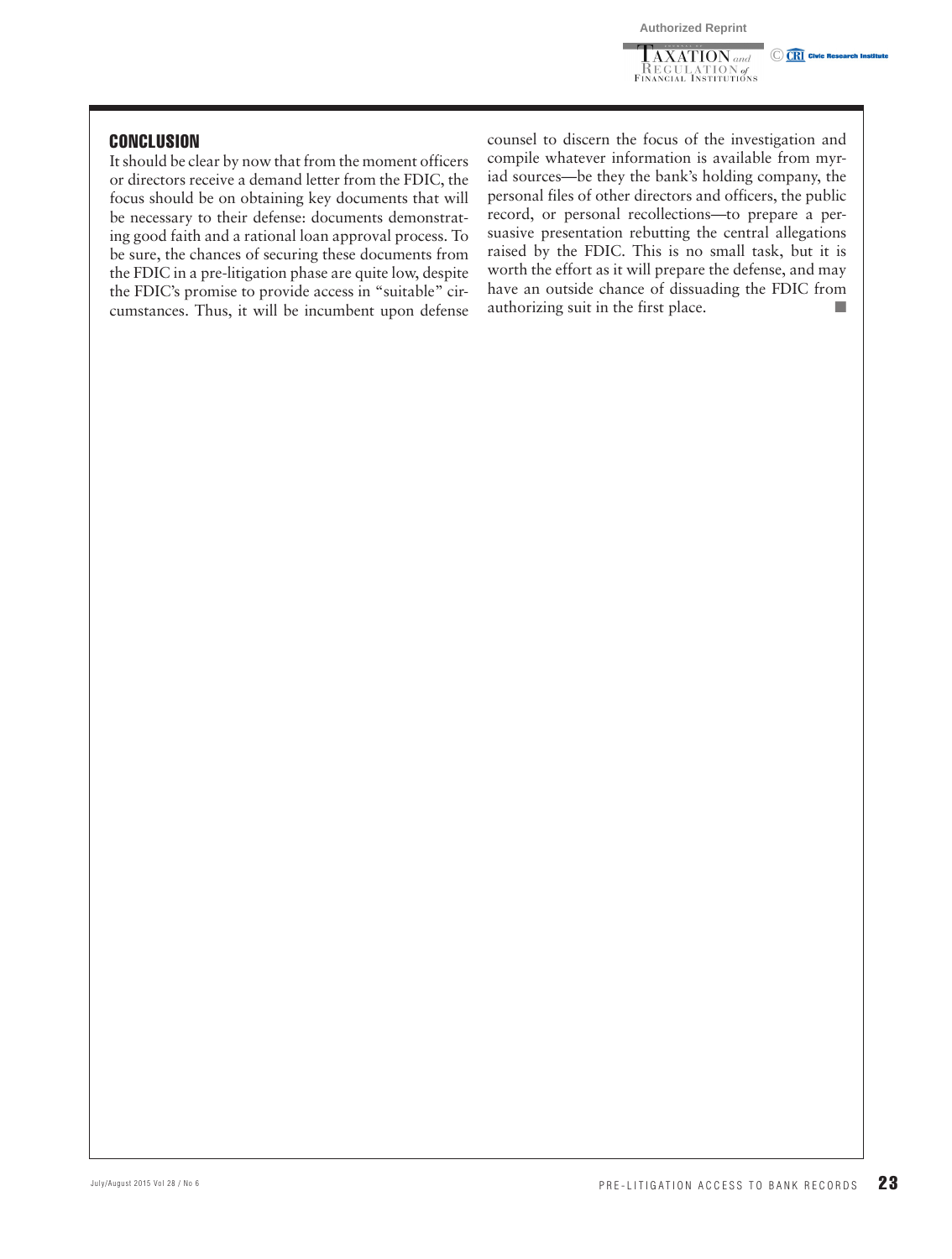$\overline{\text{AXATION}}$  and **REGULATION** of<br>Financial Institutions **CRI** Civic Research In

#### **CONCLUSION**

It should be clear by now that from the moment officers or directors receive a demand letter from the FDIC, the focus should be on obtaining key documents that will be necessary to their defense: documents demonstrating good faith and a rational loan approval process. To be sure, the chances of securing these documents from the FDIC in a pre-litigation phase are quite low, despite the FDIC's promise to provide access in "suitable" circumstances. Thus, it will be incumbent upon defense counsel to discern the focus of the investigation and compile whatever information is available from myriad sources—be they the bank's holding company, the personal files of other directors and officers, the public record, or personal recollections—to prepare a persuasive presentation rebutting the central allegations raised by the FDIC. This is no small task, but it is worth the effort as it will prepare the defense, and may have an outside chance of dissuading the FDIC from authorizing suit in the first place.  $\blacksquare$